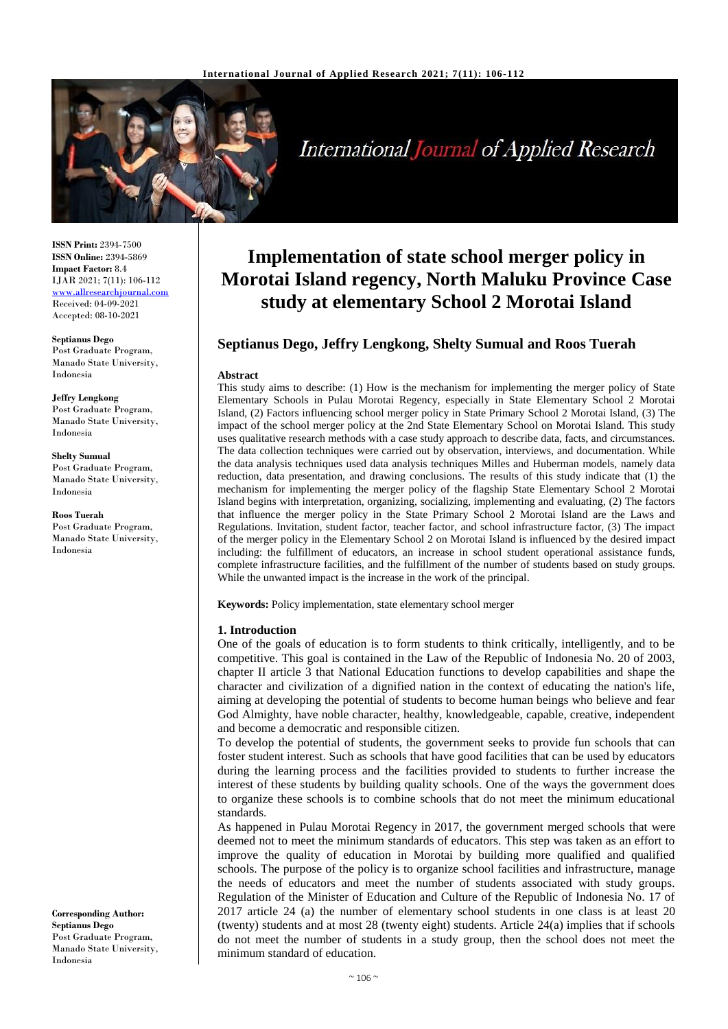

**International Journal of Applied Research** 

**ISSN Print:** 2394-7500 **ISSN Online:** 2394-5869 **Impact Factor:** 8.4 IJAR 2021; 7(11): 106-112 [www.allresearchjournal.com](http://www.allresearchjournal.com/) Received: 04-09-2021 Accepted: 08-10-2021

**Septianus Dego** Post Graduate Program, Manado State University, Indonesia

**Jeffry Lengkong** Post Graduate Program, Manado State University, Indonesia

**Shelty Sumual**  Post Graduate Program, Manado State University, Indonesia

**Roos Tuerah** Post Graduate Program, Manado State University, Indonesia

**Corresponding Author: Septianus Dego** Post Graduate Program, Manado State University, Indonesia

# **Implementation of state school merger policy in Morotai Island regency, North Maluku Province Case study at elementary School 2 Morotai Island**

# **Septianus Dego, Jeffry Lengkong, Shelty Sumual and Roos Tuerah**

#### **Abstract**

This study aims to describe: (1) How is the mechanism for implementing the merger policy of State Elementary Schools in Pulau Morotai Regency, especially in State Elementary School 2 Morotai Island, (2) Factors influencing school merger policy in State Primary School 2 Morotai Island, (3) The impact of the school merger policy at the 2nd State Elementary School on Morotai Island. This study uses qualitative research methods with a case study approach to describe data, facts, and circumstances. The data collection techniques were carried out by observation, interviews, and documentation. While the data analysis techniques used data analysis techniques Milles and Huberman models, namely data reduction, data presentation, and drawing conclusions. The results of this study indicate that (1) the mechanism for implementing the merger policy of the flagship State Elementary School 2 Morotai Island begins with interpretation, organizing, socializing, implementing and evaluating, (2) The factors that influence the merger policy in the State Primary School 2 Morotai Island are the Laws and Regulations. Invitation, student factor, teacher factor, and school infrastructure factor, (3) The impact of the merger policy in the Elementary School 2 on Morotai Island is influenced by the desired impact including: the fulfillment of educators, an increase in school student operational assistance funds, complete infrastructure facilities, and the fulfillment of the number of students based on study groups. While the unwanted impact is the increase in the work of the principal.

**Keywords:** Policy implementation, state elementary school merger

#### **1. Introduction**

One of the goals of education is to form students to think critically, intelligently, and to be competitive. This goal is contained in the Law of the Republic of Indonesia No. 20 of 2003, chapter II article 3 that National Education functions to develop capabilities and shape the character and civilization of a dignified nation in the context of educating the nation's life, aiming at developing the potential of students to become human beings who believe and fear God Almighty, have noble character, healthy, knowledgeable, capable, creative, independent and become a democratic and responsible citizen.

To develop the potential of students, the government seeks to provide fun schools that can foster student interest. Such as schools that have good facilities that can be used by educators during the learning process and the facilities provided to students to further increase the interest of these students by building quality schools. One of the ways the government does to organize these schools is to combine schools that do not meet the minimum educational standards.

As happened in Pulau Morotai Regency in 2017, the government merged schools that were deemed not to meet the minimum standards of educators. This step was taken as an effort to improve the quality of education in Morotai by building more qualified and qualified schools. The purpose of the policy is to organize school facilities and infrastructure, manage the needs of educators and meet the number of students associated with study groups. Regulation of the Minister of Education and Culture of the Republic of Indonesia No. 17 of 2017 article 24 (a) the number of elementary school students in one class is at least 20 (twenty) students and at most 28 (twenty eight) students. Article 24(a) implies that if schools do not meet the number of students in a study group, then the school does not meet the minimum standard of education.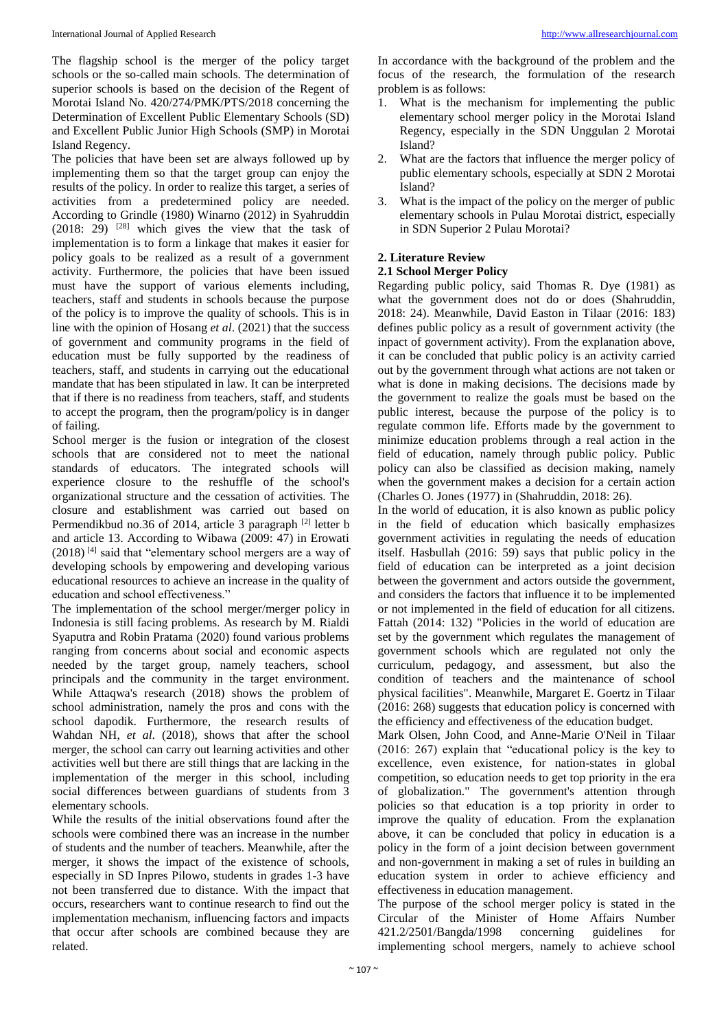The flagship school is the merger of the policy target schools or the so-called main schools. The determination of superior schools is based on the decision of the Regent of Morotai Island No. 420/274/PMK/PTS/2018 concerning the Determination of Excellent Public Elementary Schools (SD) and Excellent Public Junior High Schools (SMP) in Morotai Island Regency.

The policies that have been set are always followed up by implementing them so that the target group can enjoy the results of the policy. In order to realize this target, a series of activities from a predetermined policy are needed. According to Grindle (1980) Winarno (2012) in Syahruddin  $(2018: 29)$  <sup>[28]</sup> which gives the view that the task of implementation is to form a linkage that makes it easier for policy goals to be realized as a result of a government activity. Furthermore, the policies that have been issued must have the support of various elements including, teachers, staff and students in schools because the purpose of the policy is to improve the quality of schools. This is in line with the opinion of Hosang *et al*. (2021) that the success of government and community programs in the field of education must be fully supported by the readiness of teachers, staff, and students in carrying out the educational mandate that has been stipulated in law. It can be interpreted that if there is no readiness from teachers, staff, and students to accept the program, then the program/policy is in danger of failing.

School merger is the fusion or integration of the closest schools that are considered not to meet the national standards of educators. The integrated schools will experience closure to the reshuffle of the school's organizational structure and the cessation of activities. The closure and establishment was carried out based on Permendikbud no.36 of 2014, article 3 paragraph <sup>[2]</sup> letter b and article 13. According to Wibawa (2009: 47) in Erowati  $(2018)$ <sup>[4]</sup> said that "elementary school mergers are a way of developing schools by empowering and developing various educational resources to achieve an increase in the quality of education and school effectiveness."

The implementation of the school merger/merger policy in Indonesia is still facing problems. As research by M. Rialdi Syaputra and Robin Pratama (2020) found various problems ranging from concerns about social and economic aspects needed by the target group, namely teachers, school principals and the community in the target environment. While Attaqwa's research (2018) shows the problem of school administration, namely the pros and cons with the school dapodik. Furthermore, the research results of Wahdan NH, *et al*. (2018), shows that after the school merger, the school can carry out learning activities and other activities well but there are still things that are lacking in the implementation of the merger in this school, including social differences between guardians of students from 3 elementary schools.

While the results of the initial observations found after the schools were combined there was an increase in the number of students and the number of teachers. Meanwhile, after the merger, it shows the impact of the existence of schools, especially in SD Inpres Pilowo, students in grades 1-3 have not been transferred due to distance. With the impact that occurs, researchers want to continue research to find out the implementation mechanism, influencing factors and impacts that occur after schools are combined because they are related.

In accordance with the background of the problem and the focus of the research, the formulation of the research problem is as follows:

- 1. What is the mechanism for implementing the public elementary school merger policy in the Morotai Island Regency, especially in the SDN Unggulan 2 Morotai Island?
- 2. What are the factors that influence the merger policy of public elementary schools, especially at SDN 2 Morotai Island?
- 3. What is the impact of the policy on the merger of public elementary schools in Pulau Morotai district, especially in SDN Superior 2 Pulau Morotai?

# **2. Literature Review**

# **2.1 School Merger Policy**

Regarding public policy, said Thomas R. Dye (1981) as what the government does not do or does (Shahruddin, 2018: 24). Meanwhile, David Easton in Tilaar (2016: 183) defines public policy as a result of government activity (the inpact of government activity). From the explanation above, it can be concluded that public policy is an activity carried out by the government through what actions are not taken or what is done in making decisions. The decisions made by the government to realize the goals must be based on the public interest, because the purpose of the policy is to regulate common life. Efforts made by the government to minimize education problems through a real action in the field of education, namely through public policy. Public policy can also be classified as decision making, namely when the government makes a decision for a certain action (Charles O. Jones (1977) in (Shahruddin, 2018: 26).

In the world of education, it is also known as public policy in the field of education which basically emphasizes government activities in regulating the needs of education itself. Hasbullah (2016: 59) says that public policy in the field of education can be interpreted as a joint decision between the government and actors outside the government, and considers the factors that influence it to be implemented or not implemented in the field of education for all citizens. Fattah (2014: 132) "Policies in the world of education are set by the government which regulates the management of government schools which are regulated not only the curriculum, pedagogy, and assessment, but also the condition of teachers and the maintenance of school physical facilities". Meanwhile, Margaret E. Goertz in Tilaar (2016: 268) suggests that education policy is concerned with the efficiency and effectiveness of the education budget.

Mark Olsen, John Cood, and Anne-Marie O'Neil in Tilaar (2016: 267) explain that "educational policy is the key to excellence, even existence, for nation-states in global competition, so education needs to get top priority in the era of globalization." The government's attention through policies so that education is a top priority in order to improve the quality of education. From the explanation above, it can be concluded that policy in education is a policy in the form of a joint decision between government and non-government in making a set of rules in building an education system in order to achieve efficiency and effectiveness in education management.

The purpose of the school merger policy is stated in the Circular of the Minister of Home Affairs Number 421.2/2501/Bangda/1998 concerning guidelines for implementing school mergers, namely to achieve school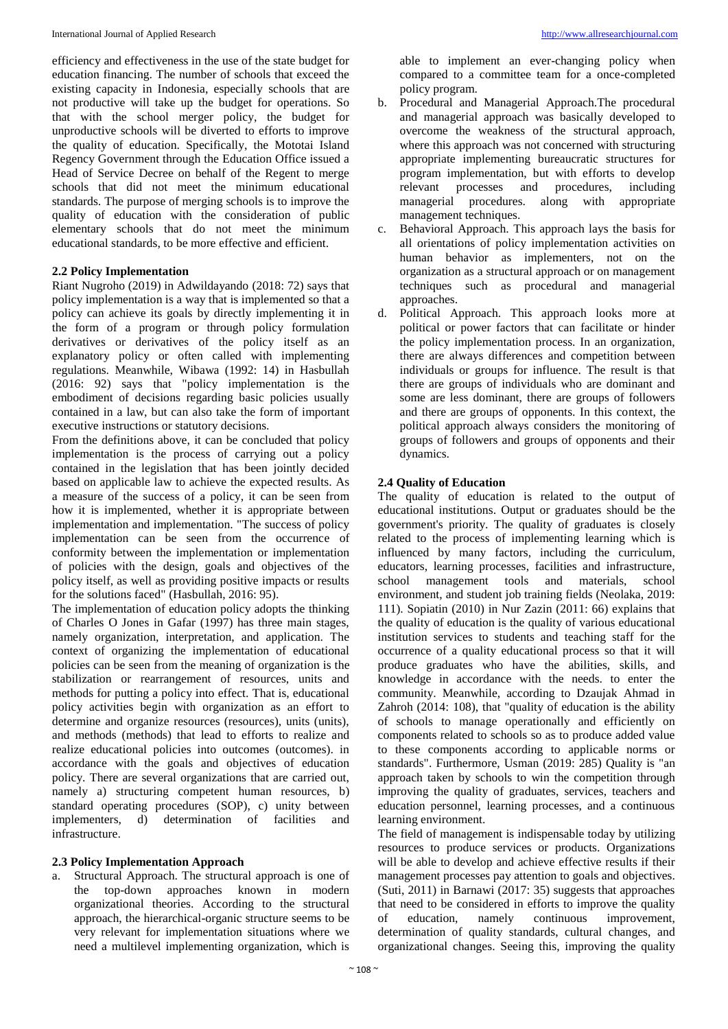efficiency and effectiveness in the use of the state budget for education financing. The number of schools that exceed the existing capacity in Indonesia, especially schools that are not productive will take up the budget for operations. So that with the school merger policy, the budget for unproductive schools will be diverted to efforts to improve the quality of education. Specifically, the Mototai Island Regency Government through the Education Office issued a Head of Service Decree on behalf of the Regent to merge schools that did not meet the minimum educational standards. The purpose of merging schools is to improve the quality of education with the consideration of public elementary schools that do not meet the minimum educational standards, to be more effective and efficient.

## **2.2 Policy Implementation**

Riant Nugroho (2019) in Adwildayando (2018: 72) says that policy implementation is a way that is implemented so that a policy can achieve its goals by directly implementing it in the form of a program or through policy formulation derivatives or derivatives of the policy itself as an explanatory policy or often called with implementing regulations. Meanwhile, Wibawa (1992: 14) in Hasbullah (2016: 92) says that "policy implementation is the embodiment of decisions regarding basic policies usually contained in a law, but can also take the form of important executive instructions or statutory decisions.

From the definitions above, it can be concluded that policy implementation is the process of carrying out a policy contained in the legislation that has been jointly decided based on applicable law to achieve the expected results. As a measure of the success of a policy, it can be seen from how it is implemented, whether it is appropriate between implementation and implementation. "The success of policy implementation can be seen from the occurrence of conformity between the implementation or implementation of policies with the design, goals and objectives of the policy itself, as well as providing positive impacts or results for the solutions faced" (Hasbullah, 2016: 95).

The implementation of education policy adopts the thinking of Charles O Jones in Gafar (1997) has three main stages, namely organization, interpretation, and application. The context of organizing the implementation of educational policies can be seen from the meaning of organization is the stabilization or rearrangement of resources, units and methods for putting a policy into effect. That is, educational policy activities begin with organization as an effort to determine and organize resources (resources), units (units), and methods (methods) that lead to efforts to realize and realize educational policies into outcomes (outcomes). in accordance with the goals and objectives of education policy. There are several organizations that are carried out, namely a) structuring competent human resources, b) standard operating procedures (SOP), c) unity between implementers, d) determination of facilities and infrastructure.

#### **2.3 Policy Implementation Approach**

a. Structural Approach. The structural approach is one of the top-down approaches known in modern organizational theories. According to the structural approach, the hierarchical-organic structure seems to be very relevant for implementation situations where we need a multilevel implementing organization, which is

able to implement an ever-changing policy when compared to a committee team for a once-completed policy program.

- b. Procedural and Managerial Approach.The procedural and managerial approach was basically developed to overcome the weakness of the structural approach, where this approach was not concerned with structuring appropriate implementing bureaucratic structures for program implementation, but with efforts to develop relevant processes and procedures, including managerial procedures. along with appropriate management techniques.
- c. Behavioral Approach. This approach lays the basis for all orientations of policy implementation activities on human behavior as implementers, not on the organization as a structural approach or on management techniques such as procedural and managerial approaches.
- d. Political Approach. This approach looks more at political or power factors that can facilitate or hinder the policy implementation process. In an organization, there are always differences and competition between individuals or groups for influence. The result is that there are groups of individuals who are dominant and some are less dominant, there are groups of followers and there are groups of opponents. In this context, the political approach always considers the monitoring of groups of followers and groups of opponents and their dynamics.

# **2.4 Quality of Education**

The quality of education is related to the output of educational institutions. Output or graduates should be the government's priority. The quality of graduates is closely related to the process of implementing learning which is influenced by many factors, including the curriculum, educators, learning processes, facilities and infrastructure, school management tools and materials, school environment, and student job training fields (Neolaka, 2019: 111). Sopiatin (2010) in Nur Zazin (2011: 66) explains that the quality of education is the quality of various educational institution services to students and teaching staff for the occurrence of a quality educational process so that it will produce graduates who have the abilities, skills, and knowledge in accordance with the needs. to enter the community. Meanwhile, according to Dzaujak Ahmad in Zahroh (2014: 108), that "quality of education is the ability of schools to manage operationally and efficiently on components related to schools so as to produce added value to these components according to applicable norms or standards". Furthermore, Usman (2019: 285) Quality is "an approach taken by schools to win the competition through improving the quality of graduates, services, teachers and education personnel, learning processes, and a continuous learning environment.

The field of management is indispensable today by utilizing resources to produce services or products. Organizations will be able to develop and achieve effective results if their management processes pay attention to goals and objectives. (Suti, 2011) in Barnawi (2017: 35) suggests that approaches that need to be considered in efforts to improve the quality of education, namely continuous improvement, determination of quality standards, cultural changes, and organizational changes. Seeing this, improving the quality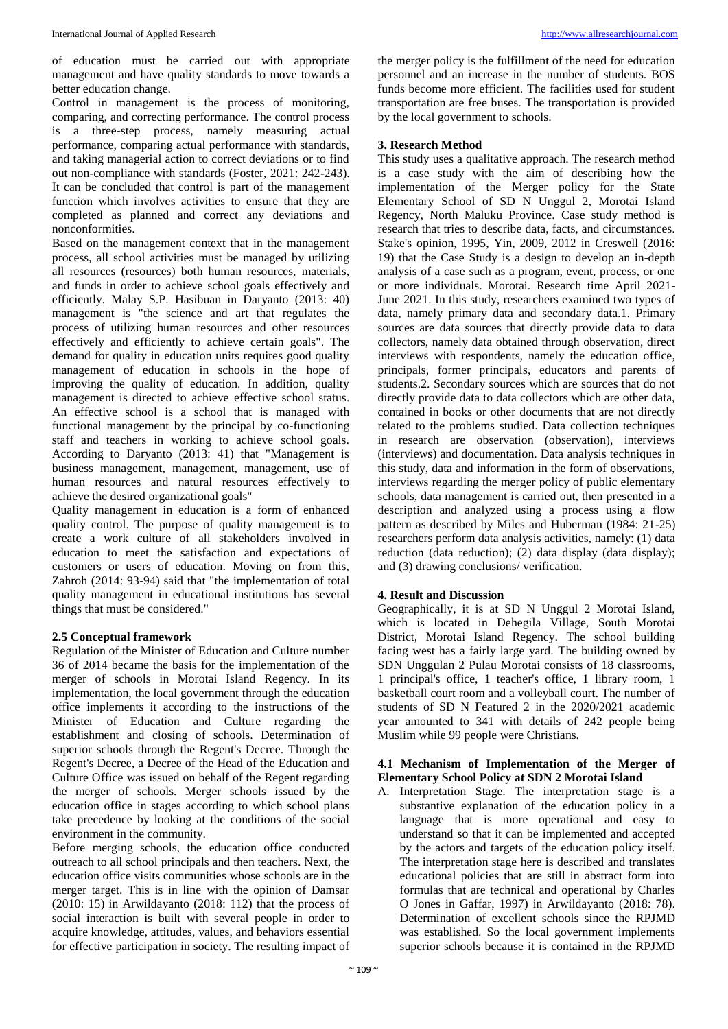of education must be carried out with appropriate management and have quality standards to move towards a better education change.

Control in management is the process of monitoring, comparing, and correcting performance. The control process is a three-step process, namely measuring actual performance, comparing actual performance with standards, and taking managerial action to correct deviations or to find out non-compliance with standards (Foster, 2021: 242-243). It can be concluded that control is part of the management function which involves activities to ensure that they are completed as planned and correct any deviations and nonconformities.

Based on the management context that in the management process, all school activities must be managed by utilizing all resources (resources) both human resources, materials, and funds in order to achieve school goals effectively and efficiently. Malay S.P. Hasibuan in Daryanto (2013: 40) management is "the science and art that regulates the process of utilizing human resources and other resources effectively and efficiently to achieve certain goals". The demand for quality in education units requires good quality management of education in schools in the hope of improving the quality of education. In addition, quality management is directed to achieve effective school status. An effective school is a school that is managed with functional management by the principal by co-functioning staff and teachers in working to achieve school goals. According to Daryanto (2013: 41) that "Management is business management, management, management, use of human resources and natural resources effectively to achieve the desired organizational goals"

Quality management in education is a form of enhanced quality control. The purpose of quality management is to create a work culture of all stakeholders involved in education to meet the satisfaction and expectations of customers or users of education. Moving on from this, Zahroh (2014: 93-94) said that "the implementation of total quality management in educational institutions has several things that must be considered."

#### **2.5 Conceptual framework**

Regulation of the Minister of Education and Culture number 36 of 2014 became the basis for the implementation of the merger of schools in Morotai Island Regency. In its implementation, the local government through the education office implements it according to the instructions of the Minister of Education and Culture regarding the establishment and closing of schools. Determination of superior schools through the Regent's Decree. Through the Regent's Decree, a Decree of the Head of the Education and Culture Office was issued on behalf of the Regent regarding the merger of schools. Merger schools issued by the education office in stages according to which school plans take precedence by looking at the conditions of the social environment in the community.

Before merging schools, the education office conducted outreach to all school principals and then teachers. Next, the education office visits communities whose schools are in the merger target. This is in line with the opinion of Damsar (2010: 15) in Arwildayanto (2018: 112) that the process of social interaction is built with several people in order to acquire knowledge, attitudes, values, and behaviors essential for effective participation in society. The resulting impact of

the merger policy is the fulfillment of the need for education personnel and an increase in the number of students. BOS funds become more efficient. The facilities used for student transportation are free buses. The transportation is provided by the local government to schools.

# **3. Research Method**

This study uses a qualitative approach. The research method is a case study with the aim of describing how the implementation of the Merger policy for the State Elementary School of SD N Unggul 2, Morotai Island Regency, North Maluku Province. Case study method is research that tries to describe data, facts, and circumstances. Stake's opinion, 1995, Yin, 2009, 2012 in Creswell (2016: 19) that the Case Study is a design to develop an in-depth analysis of a case such as a program, event, process, or one or more individuals. Morotai. Research time April 2021- June 2021. In this study, researchers examined two types of data, namely primary data and secondary data.1. Primary sources are data sources that directly provide data to data collectors, namely data obtained through observation, direct interviews with respondents, namely the education office, principals, former principals, educators and parents of students.2. Secondary sources which are sources that do not directly provide data to data collectors which are other data, contained in books or other documents that are not directly related to the problems studied. Data collection techniques in research are observation (observation), interviews (interviews) and documentation. Data analysis techniques in this study, data and information in the form of observations, interviews regarding the merger policy of public elementary schools, data management is carried out, then presented in a description and analyzed using a process using a flow pattern as described by Miles and Huberman (1984: 21-25) researchers perform data analysis activities, namely: (1) data reduction (data reduction); (2) data display (data display); and (3) drawing conclusions/ verification.

# **4. Result and Discussion**

Geographically, it is at SD N Unggul 2 Morotai Island, which is located in Dehegila Village, South Morotai District, Morotai Island Regency. The school building facing west has a fairly large yard. The building owned by SDN Unggulan 2 Pulau Morotai consists of 18 classrooms, 1 principal's office, 1 teacher's office, 1 library room, 1 basketball court room and a volleyball court. The number of students of SD N Featured 2 in the 2020/2021 academic year amounted to 341 with details of 242 people being Muslim while 99 people were Christians.

## **4.1 Mechanism of Implementation of the Merger of Elementary School Policy at SDN 2 Morotai Island**

A. Interpretation Stage. The interpretation stage is a substantive explanation of the education policy in a language that is more operational and easy to understand so that it can be implemented and accepted by the actors and targets of the education policy itself. The interpretation stage here is described and translates educational policies that are still in abstract form into formulas that are technical and operational by Charles O Jones in Gaffar, 1997) in Arwildayanto (2018: 78). Determination of excellent schools since the RPJMD was established. So the local government implements superior schools because it is contained in the RPJMD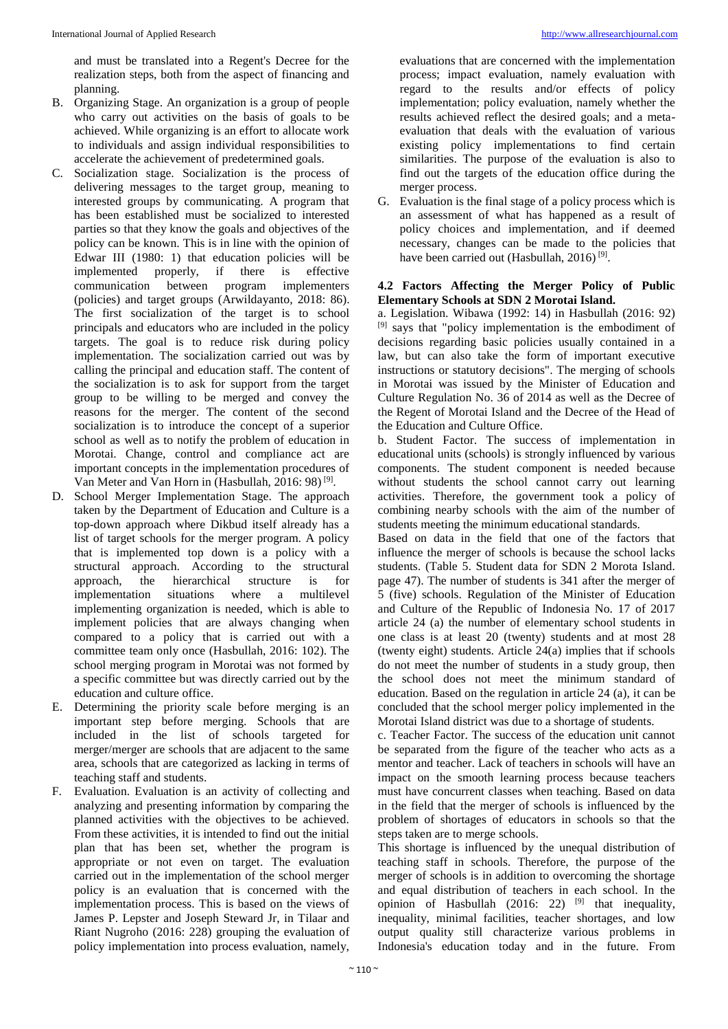and must be translated into a Regent's Decree for the realization steps, both from the aspect of financing and planning.

- B. Organizing Stage. An organization is a group of people who carry out activities on the basis of goals to be achieved. While organizing is an effort to allocate work to individuals and assign individual responsibilities to accelerate the achievement of predetermined goals.
- C. Socialization stage. Socialization is the process of delivering messages to the target group, meaning to interested groups by communicating. A program that has been established must be socialized to interested parties so that they know the goals and objectives of the policy can be known. This is in line with the opinion of Edwar III (1980: 1) that education policies will be implemented properly, if there is effective communication between program implementers (policies) and target groups (Arwildayanto, 2018: 86). The first socialization of the target is to school principals and educators who are included in the policy targets. The goal is to reduce risk during policy implementation. The socialization carried out was by calling the principal and education staff. The content of the socialization is to ask for support from the target group to be willing to be merged and convey the reasons for the merger. The content of the second socialization is to introduce the concept of a superior school as well as to notify the problem of education in Morotai. Change, control and compliance act are important concepts in the implementation procedures of Van Meter and Van Horn in (Hasbullah, 2016: 98)<sup>[9]</sup>.
- D. School Merger Implementation Stage. The approach taken by the Department of Education and Culture is a top-down approach where Dikbud itself already has a list of target schools for the merger program. A policy that is implemented top down is a policy with a structural approach. According to the structural approach, the hierarchical structure is for implementation situations where a multilevel implementing organization is needed, which is able to implement policies that are always changing when compared to a policy that is carried out with a committee team only once (Hasbullah, 2016: 102). The school merging program in Morotai was not formed by a specific committee but was directly carried out by the education and culture office.
- E. Determining the priority scale before merging is an important step before merging. Schools that are included in the list of schools targeted for merger/merger are schools that are adjacent to the same area, schools that are categorized as lacking in terms of teaching staff and students.
- F. Evaluation. Evaluation is an activity of collecting and analyzing and presenting information by comparing the planned activities with the objectives to be achieved. From these activities, it is intended to find out the initial plan that has been set, whether the program is appropriate or not even on target. The evaluation carried out in the implementation of the school merger policy is an evaluation that is concerned with the implementation process. This is based on the views of James P. Lepster and Joseph Steward Jr, in Tilaar and Riant Nugroho (2016: 228) grouping the evaluation of policy implementation into process evaluation, namely,

evaluations that are concerned with the implementation process; impact evaluation, namely evaluation with regard to the results and/or effects of policy implementation; policy evaluation, namely whether the results achieved reflect the desired goals; and a metaevaluation that deals with the evaluation of various existing policy implementations to find certain similarities. The purpose of the evaluation is also to find out the targets of the education office during the merger process.

G. Evaluation is the final stage of a policy process which is an assessment of what has happened as a result of policy choices and implementation, and if deemed necessary, changes can be made to the policies that have been carried out (Hasbullah, 2016)<sup>[9]</sup>.

## **4.2 Factors Affecting the Merger Policy of Public Elementary Schools at SDN 2 Morotai Island.**

a. Legislation. Wibawa (1992: 14) in Hasbullah (2016: 92) [9] says that "policy implementation is the embodiment of decisions regarding basic policies usually contained in a law, but can also take the form of important executive instructions or statutory decisions". The merging of schools in Morotai was issued by the Minister of Education and Culture Regulation No. 36 of 2014 as well as the Decree of the Regent of Morotai Island and the Decree of the Head of the Education and Culture Office.

b. Student Factor. The success of implementation in educational units (schools) is strongly influenced by various components. The student component is needed because without students the school cannot carry out learning activities. Therefore, the government took a policy of combining nearby schools with the aim of the number of students meeting the minimum educational standards.

Based on data in the field that one of the factors that influence the merger of schools is because the school lacks students. (Table 5. Student data for SDN 2 Morota Island. page 47). The number of students is 341 after the merger of 5 (five) schools. Regulation of the Minister of Education and Culture of the Republic of Indonesia No. 17 of 2017 article 24 (a) the number of elementary school students in one class is at least 20 (twenty) students and at most 28 (twenty eight) students. Article 24(a) implies that if schools do not meet the number of students in a study group, then the school does not meet the minimum standard of education. Based on the regulation in article 24 (a), it can be concluded that the school merger policy implemented in the Morotai Island district was due to a shortage of students.

c. Teacher Factor. The success of the education unit cannot be separated from the figure of the teacher who acts as a mentor and teacher. Lack of teachers in schools will have an impact on the smooth learning process because teachers must have concurrent classes when teaching. Based on data in the field that the merger of schools is influenced by the problem of shortages of educators in schools so that the steps taken are to merge schools.

This shortage is influenced by the unequal distribution of teaching staff in schools. Therefore, the purpose of the merger of schools is in addition to overcoming the shortage and equal distribution of teachers in each school. In the opinion of Hasbullah  $(2016: 22)$  <sup>[9]</sup> that inequality, inequality, minimal facilities, teacher shortages, and low output quality still characterize various problems in Indonesia's education today and in the future. From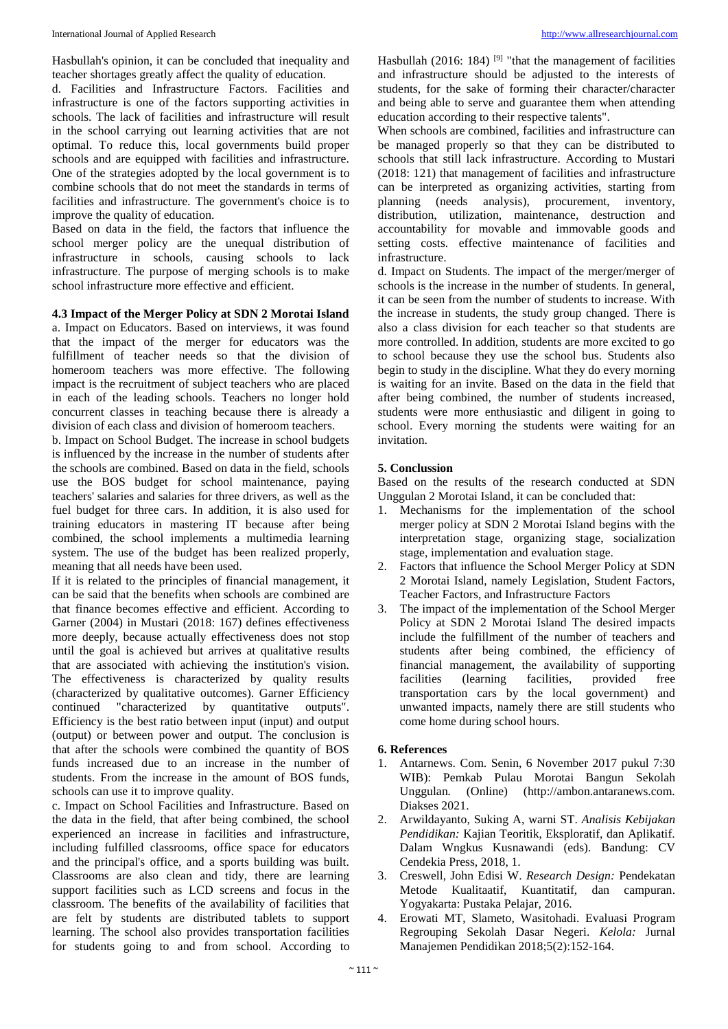Hasbullah's opinion, it can be concluded that inequality and teacher shortages greatly affect the quality of education.

d. Facilities and Infrastructure Factors. Facilities and infrastructure is one of the factors supporting activities in schools. The lack of facilities and infrastructure will result in the school carrying out learning activities that are not optimal. To reduce this, local governments build proper schools and are equipped with facilities and infrastructure. One of the strategies adopted by the local government is to combine schools that do not meet the standards in terms of facilities and infrastructure. The government's choice is to improve the quality of education.

Based on data in the field, the factors that influence the school merger policy are the unequal distribution of infrastructure in schools, causing schools to lack infrastructure. The purpose of merging schools is to make school infrastructure more effective and efficient.

#### **4.3 Impact of the Merger Policy at SDN 2 Morotai Island**

a. Impact on Educators. Based on interviews, it was found that the impact of the merger for educators was the fulfillment of teacher needs so that the division of homeroom teachers was more effective. The following impact is the recruitment of subject teachers who are placed in each of the leading schools. Teachers no longer hold concurrent classes in teaching because there is already a division of each class and division of homeroom teachers.

b. Impact on School Budget. The increase in school budgets is influenced by the increase in the number of students after the schools are combined. Based on data in the field, schools use the BOS budget for school maintenance, paying teachers' salaries and salaries for three drivers, as well as the fuel budget for three cars. In addition, it is also used for training educators in mastering IT because after being combined, the school implements a multimedia learning system. The use of the budget has been realized properly, meaning that all needs have been used.

If it is related to the principles of financial management, it can be said that the benefits when schools are combined are that finance becomes effective and efficient. According to Garner (2004) in Mustari (2018: 167) defines effectiveness more deeply, because actually effectiveness does not stop until the goal is achieved but arrives at qualitative results that are associated with achieving the institution's vision. The effectiveness is characterized by quality results (characterized by qualitative outcomes). Garner Efficiency continued "characterized by quantitative outputs". Efficiency is the best ratio between input (input) and output (output) or between power and output. The conclusion is that after the schools were combined the quantity of BOS funds increased due to an increase in the number of students. From the increase in the amount of BOS funds, schools can use it to improve quality.

c. Impact on School Facilities and Infrastructure. Based on the data in the field, that after being combined, the school experienced an increase in facilities and infrastructure, including fulfilled classrooms, office space for educators and the principal's office, and a sports building was built. Classrooms are also clean and tidy, there are learning support facilities such as LCD screens and focus in the classroom. The benefits of the availability of facilities that are felt by students are distributed tablets to support learning. The school also provides transportation facilities for students going to and from school. According to

Hasbullah (2016: 184)<sup>[9]</sup> "that the management of facilities and infrastructure should be adjusted to the interests of students, for the sake of forming their character/character and being able to serve and guarantee them when attending education according to their respective talents".

When schools are combined, facilities and infrastructure can be managed properly so that they can be distributed to schools that still lack infrastructure. According to Mustari (2018: 121) that management of facilities and infrastructure can be interpreted as organizing activities, starting from planning (needs analysis), procurement, inventory, distribution, utilization, maintenance, destruction and accountability for movable and immovable goods and setting costs. effective maintenance of facilities and infrastructure.

d. Impact on Students. The impact of the merger/merger of schools is the increase in the number of students. In general, it can be seen from the number of students to increase. With the increase in students, the study group changed. There is also a class division for each teacher so that students are more controlled. In addition, students are more excited to go to school because they use the school bus. Students also begin to study in the discipline. What they do every morning is waiting for an invite. Based on the data in the field that after being combined, the number of students increased, students were more enthusiastic and diligent in going to school. Every morning the students were waiting for an invitation.

#### **5. Conclussion**

Based on the results of the research conducted at SDN Unggulan 2 Morotai Island, it can be concluded that:

- 1. Mechanisms for the implementation of the school merger policy at SDN 2 Morotai Island begins with the interpretation stage, organizing stage, socialization stage, implementation and evaluation stage.
- 2. Factors that influence the School Merger Policy at SDN 2 Morotai Island, namely Legislation, Student Factors, Teacher Factors, and Infrastructure Factors
- 3. The impact of the implementation of the School Merger Policy at SDN 2 Morotai Island The desired impacts include the fulfillment of the number of teachers and students after being combined, the efficiency of financial management, the availability of supporting facilities (learning facilities, provided free transportation cars by the local government) and unwanted impacts, namely there are still students who come home during school hours.

#### **6. References**

- 1. Antarnews. Com. Senin, 6 November 2017 pukul 7:30 WIB): Pemkab Pulau Morotai Bangun Sekolah Unggulan*.* (Online) (http://ambon.antaranews.com. Diakses 2021.
- 2. Arwildayanto, Suking A, warni ST. *Analisis Kebijakan Pendidikan:* Kajian Teoritik, Eksploratif, dan Aplikatif. Dalam Wngkus Kusnawandi (eds). Bandung: CV Cendekia Press, 2018, 1.
- 3. Creswell, John Edisi W. *Research Design:* Pendekatan Metode Kualitaatif, Kuantitatif, dan campuran. Yogyakarta: Pustaka Pelajar, 2016.
- 4. Erowati MT, Slameto, Wasitohadi. Evaluasi Program Regrouping Sekolah Dasar Negeri. *Kelola:* Jurnal Manajemen Pendidikan 2018;5(2):152-164.